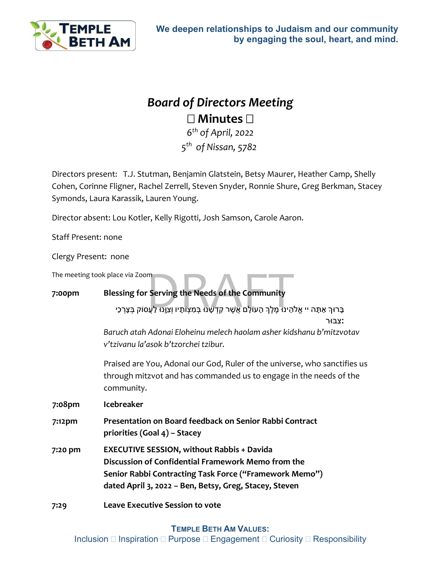

## *Board of Directors Meeting* **Minutes**

*6th of April, 2022 5th of Nissan, 5782*

Directors present: T.J. Stutman, Benjamin Glatstein, Betsy Maurer, Heather Camp, Shelly Cohen, Corinne Fligner, Rachel Zerrell, Steven Snyder, Ronnie Shure, Greg Berkman, Stacey Symonds, Laura Karassik, Lauren Young.

Director absent: Lou Kotler, Kelly Rigotti, Josh Samson, Carole Aaron.

Staff Present: none

Clergy Present: none

The meeting took place via Zoom

## **7:00pm Blessing for Serving the Needs of the Community**

ace via Zoom<br>e<mark>ssing for Serving the Needs of the Community</mark><br>בְּרוּךְ אַתָּה יי אֱלֹהֵינוּ מֶלֶךְ הָעוֹלָם אֲשֶׁר קִדְשָׁנוּ בְּמִצְוֹתָיו וְצִוְּנוּ לַעֲסוֹק בְּצָרְכֵי

**׃**צִ בּוּר

*Baruch atah Adonai Eloheinu melech haolam asher kidshanu b'mitzvotav v'tzivanu la'asok b'tzorchei tzibur.*

Praised are You, Adonai our God, Ruler of the universe, who sanctifies us through mitzvot and has commanded us to engage in the needs of the community.

**7:08pm Icebreaker**

- **7:12pm Presentation on Board feedback on Senior Rabbi Contract priorities (Goal 4) – Stacey**
- **7:20 pm EXECUTIVE SESSION, without Rabbis + Davida Discussion of Confidential Framework Memo from the Senior Rabbi Contracting Task Force ("Framework Memo") dated April 3, 2022 – Ben, Betsy, Greg, Stacey, Steven**
- **7:29 Leave Executive Session to vote**